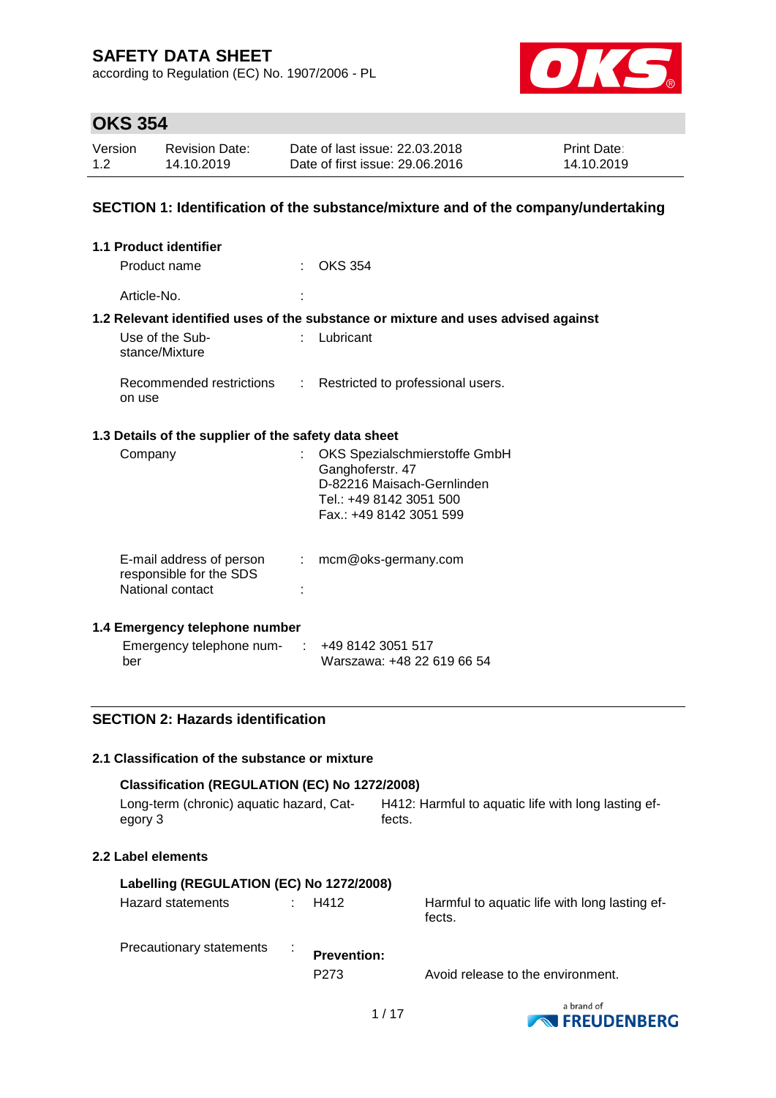according to Regulation (EC) No. 1907/2006 - PL



# **OKS 354**

| Version | <b>Revision Date:</b> | Date of last issue: 22.03.2018  | <b>Print Date:</b> |
|---------|-----------------------|---------------------------------|--------------------|
| 1.2     | 14.10.2019            | Date of first issue: 29,06,2016 | 14.10.2019         |

### **SECTION 1: Identification of the substance/mixture and of the company/undertaking**

| 1.1 Product identifier                                                  |    |                                                                                                                                       |
|-------------------------------------------------------------------------|----|---------------------------------------------------------------------------------------------------------------------------------------|
| Product name                                                            |    | OKS 354                                                                                                                               |
| Article-No.                                                             |    |                                                                                                                                       |
|                                                                         |    | 1.2 Relevant identified uses of the substance or mixture and uses advised against                                                     |
| Use of the Sub-<br>stance/Mixture                                       |    | $:$ Lubricant                                                                                                                         |
| on use                                                                  |    | Recommended restrictions : Restricted to professional users.                                                                          |
| 1.3 Details of the supplier of the safety data sheet                    |    |                                                                                                                                       |
| Company                                                                 |    | OKS Spezialschmierstoffe GmbH<br>Ganghoferstr. 47<br>D-82216 Maisach-Gernlinden<br>Tel.: +49 8142 3051 500<br>Fax.: +49 8142 3051 599 |
| E-mail address of person<br>responsible for the SDS<br>National contact | ÷. | mcm@oks-germany.com                                                                                                                   |
| 1.4 Emergency telephone number                                          |    |                                                                                                                                       |
| Emergency telephone num-<br>ber                                         |    | +49 8142 3051 517<br>Warszawa: +48 22 619 66 54                                                                                       |

# **SECTION 2: Hazards identification**

#### **2.1 Classification of the substance or mixture**

| Classification (REGULATION (EC) No 1272/2008)       |        |                                                         |
|-----------------------------------------------------|--------|---------------------------------------------------------|
| Long-term (chronic) aquatic hazard, Cat-<br>egory 3 | fects. | H412: Harmful to aquatic life with long lasting ef-     |
| 2.2 Label elements                                  |        |                                                         |
| Labelling (REGULATION (EC) No 1272/2008)            |        |                                                         |
| Hazard statements                                   | H412   | Harmful to aquatic life with long lasting ef-<br>fects. |

| Precautionary statements | <b>Prevention:</b> |                                   |
|--------------------------|--------------------|-----------------------------------|
|                          | P <sub>273</sub>   | Avoid release to the environment. |

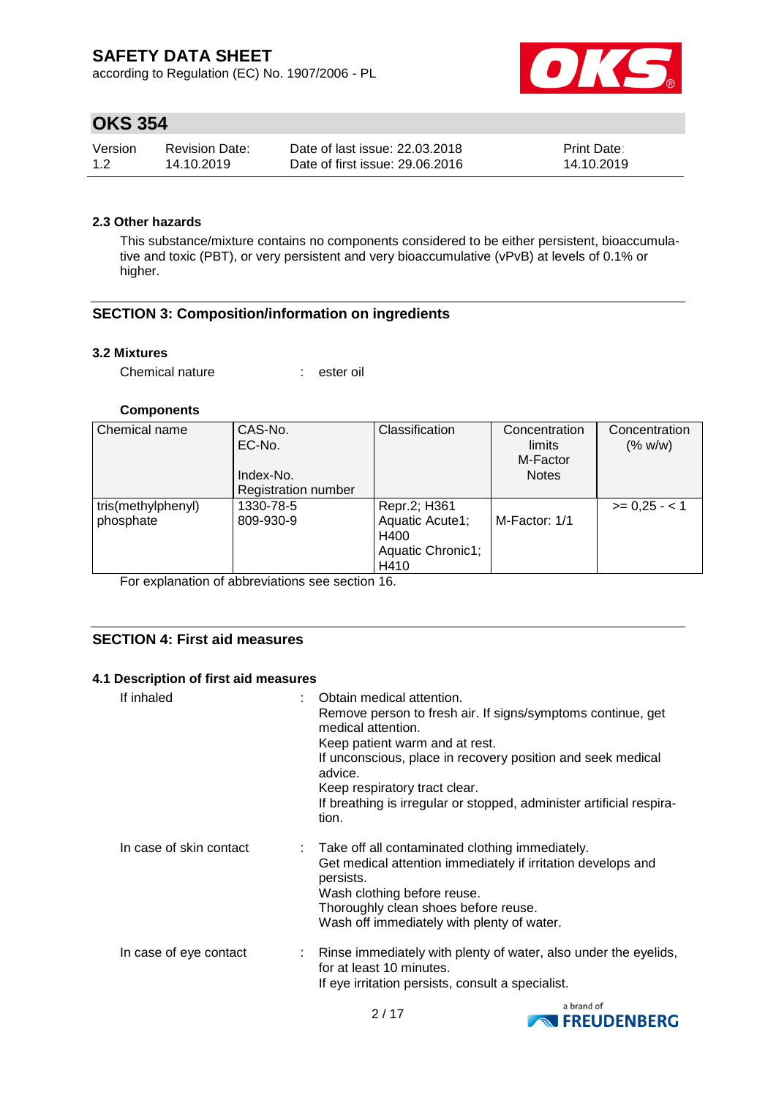according to Regulation (EC) No. 1907/2006 - PL



# **OKS 354**

| Version | <b>Revision Date:</b> | Date of last issue: 22,03,2018  | <b>Print Date:</b> |
|---------|-----------------------|---------------------------------|--------------------|
| 1.2     | 14.10.2019            | Date of first issue: 29,06,2016 | 14.10.2019         |

### **2.3 Other hazards**

This substance/mixture contains no components considered to be either persistent, bioaccumulative and toxic (PBT), or very persistent and very bioaccumulative (vPvB) at levels of 0.1% or higher.

# **SECTION 3: Composition/information on ingredients**

### **3.2 Mixtures**

Chemical nature : ester oil

### **Components**

| Chemical name      | CAS-No.                    | Classification    | Concentration      | Concentration |
|--------------------|----------------------------|-------------------|--------------------|---------------|
|                    | EC-No.                     |                   | limits<br>M-Factor | (% w/w)       |
|                    | Index-No.                  |                   | <b>Notes</b>       |               |
|                    | <b>Registration number</b> |                   |                    |               |
| tris(methylphenyl) | 1330-78-5                  | Repr.2; H361      |                    | $>= 0.25 - 1$ |
| phosphate          | 809-930-9                  | Aquatic Acute1;   | M-Factor: 1/1      |               |
|                    |                            | H400              |                    |               |
|                    |                            | Aquatic Chronic1; |                    |               |
|                    |                            | H410              |                    |               |

For explanation of abbreviations see section 16.

# **SECTION 4: First aid measures**

### **4.1 Description of first aid measures**

| If inhaled              | Obtain medical attention.<br>Remove person to fresh air. If signs/symptoms continue, get<br>medical attention.<br>Keep patient warm and at rest.<br>If unconscious, place in recovery position and seek medical<br>advice.<br>Keep respiratory tract clear.<br>If breathing is irregular or stopped, administer artificial respira-<br>tion. |
|-------------------------|----------------------------------------------------------------------------------------------------------------------------------------------------------------------------------------------------------------------------------------------------------------------------------------------------------------------------------------------|
| In case of skin contact | : Take off all contaminated clothing immediately.<br>Get medical attention immediately if irritation develops and<br>persists.<br>Wash clothing before reuse.<br>Thoroughly clean shoes before reuse.<br>Wash off immediately with plenty of water.                                                                                          |
| In case of eye contact  | : Rinse immediately with plenty of water, also under the eyelids,<br>for at least 10 minutes.<br>If eye irritation persists, consult a specialist.                                                                                                                                                                                           |

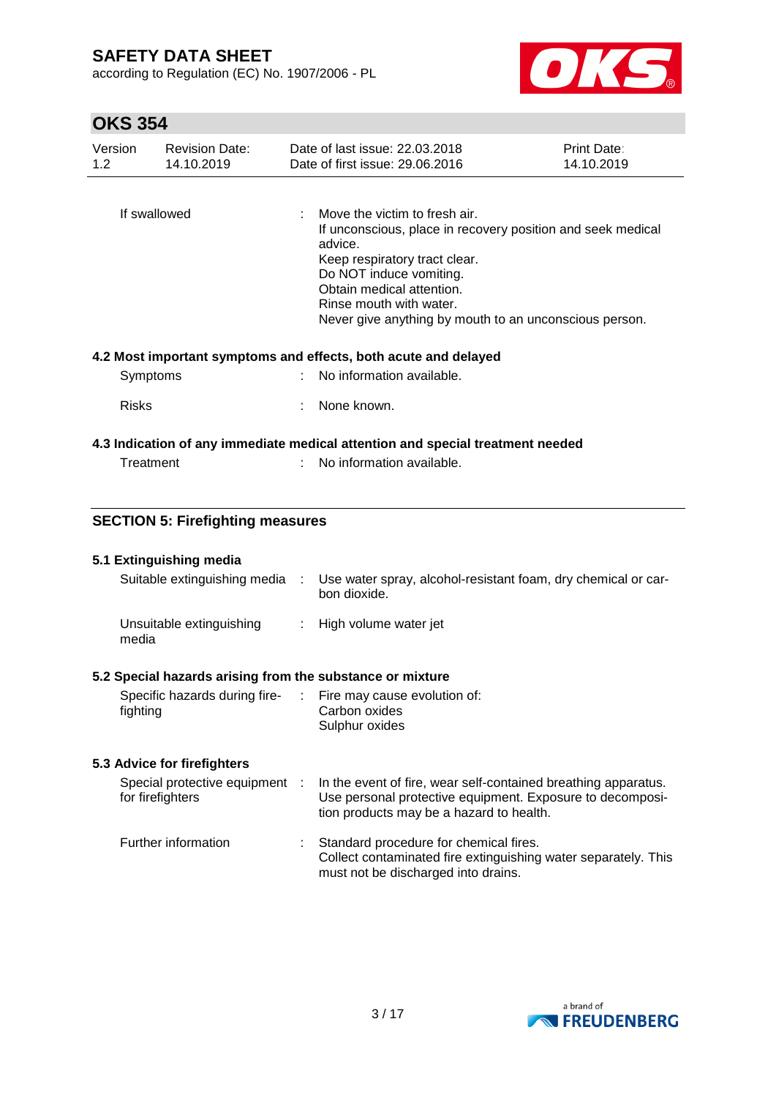according to Regulation (EC) No. 1907/2006 - PL



# **OKS 354**

| Version<br>1.2 <sub>2</sub> | <b>Revision Date:</b><br>14.10.2019 | Date of last issue: 22.03.2018<br>Print Date:<br>Date of first issue: 29.06.2016<br>14.10.2019 |                                                                                                                                                                                                                                                                                       |  |  |
|-----------------------------|-------------------------------------|------------------------------------------------------------------------------------------------|---------------------------------------------------------------------------------------------------------------------------------------------------------------------------------------------------------------------------------------------------------------------------------------|--|--|
| If swallowed                |                                     | ÷                                                                                              | Move the victim to fresh air.<br>If unconscious, place in recovery position and seek medical<br>advice.<br>Keep respiratory tract clear.<br>Do NOT induce vomiting.<br>Obtain medical attention.<br>Rinse mouth with water.<br>Never give anything by mouth to an unconscious person. |  |  |
|                             |                                     |                                                                                                | 4.2 Most important symptoms and effects, both acute and delayed                                                                                                                                                                                                                       |  |  |
|                             | Symptoms                            |                                                                                                | No information available.                                                                                                                                                                                                                                                             |  |  |
|                             | <b>Risks</b>                        |                                                                                                | None known.                                                                                                                                                                                                                                                                           |  |  |

### **4.3 Indication of any immediate medical attention and special treatment needed**

| Treatment | No information available. |
|-----------|---------------------------|
|           |                           |

# **SECTION 5: Firefighting measures**

| 5.1 Extinguishing media<br>Suitable extinguishing media                          | Use water spray, alcohol-resistant foam, dry chemical or car- |
|----------------------------------------------------------------------------------|---------------------------------------------------------------|
|                                                                                  | bon dioxide.                                                  |
| Unsuitable extinguishing<br>media                                                | : High volume water jet                                       |
| E.O. On a abal to a mand a landship in fugure the completence of an include use. |                                                               |

### **5.2 Special hazards arising from the substance or mixture**

| Specific hazards during fire- | : Fire may cause evolution of: |
|-------------------------------|--------------------------------|
| fighting                      | Carbon oxides                  |
|                               | Sulphur oxides                 |

# **5.3 Advice for firefighters**

| Special protective equipment<br>for firefighters | In the event of fire, wear self-contained breathing apparatus.<br>Use personal protective equipment. Exposure to decomposi-<br>tion products may be a hazard to health. |
|--------------------------------------------------|-------------------------------------------------------------------------------------------------------------------------------------------------------------------------|
| Further information                              | Standard procedure for chemical fires.<br>Collect contaminated fire extinguishing water separately. This                                                                |

must not be discharged into drains.

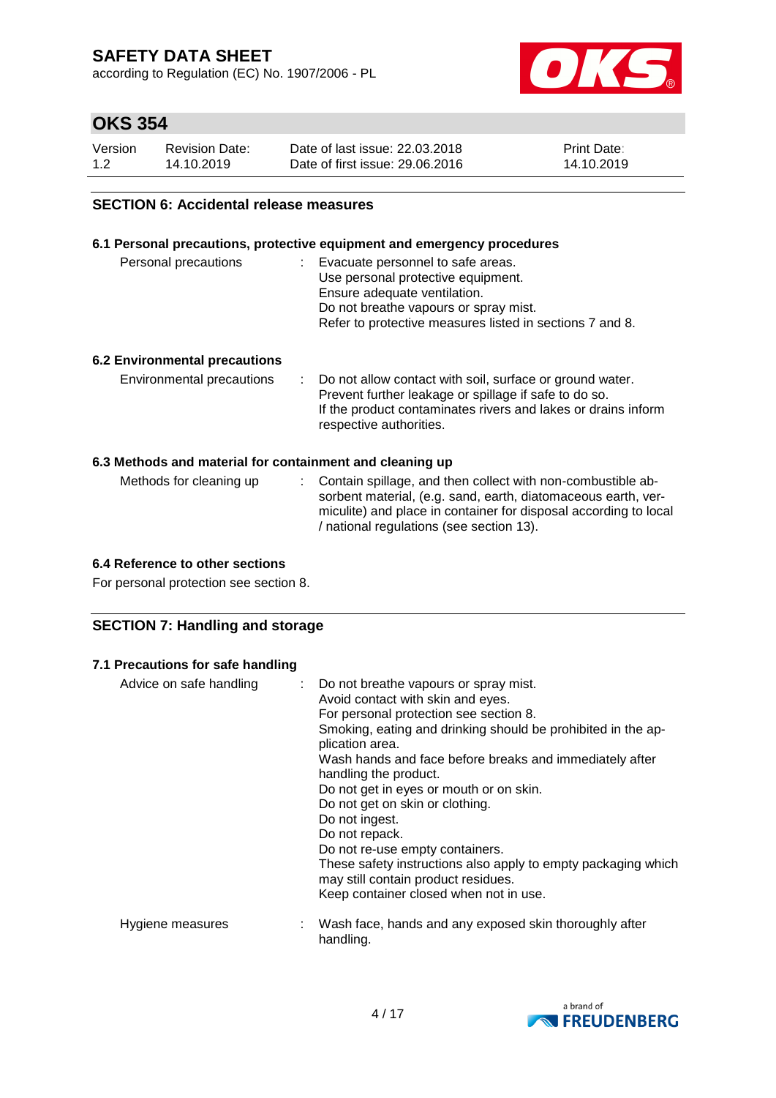according to Regulation (EC) No. 1907/2006 - PL



# **OKS 354**

| Version | Revision Date: | Date of last issue: 22.03.2018  | <b>Print Date:</b> |
|---------|----------------|---------------------------------|--------------------|
| 1.2     | 14.10.2019     | Date of first issue: 29,06,2016 | 14.10.2019         |

### **SECTION 6: Accidental release measures**

### **6.1 Personal precautions, protective equipment and emergency procedures**

| Personal precautions | : Evacuate personnel to safe areas.                      |
|----------------------|----------------------------------------------------------|
|                      | Use personal protective equipment.                       |
|                      | Ensure adequate ventilation.                             |
|                      | Do not breathe vapours or spray mist.                    |
|                      | Refer to protective measures listed in sections 7 and 8. |
|                      |                                                          |

### **6.2 Environmental precautions**

| Environmental precautions | : Do not allow contact with soil, surface or ground water.<br>Prevent further leakage or spillage if safe to do so.<br>If the product contaminates rivers and lakes or drains inform<br>respective authorities. |
|---------------------------|-----------------------------------------------------------------------------------------------------------------------------------------------------------------------------------------------------------------|
|                           |                                                                                                                                                                                                                 |

#### **6.3 Methods and material for containment and cleaning up**

| Methods for cleaning up | : Contain spillage, and then collect with non-combustible ab-    |
|-------------------------|------------------------------------------------------------------|
|                         | sorbent material, (e.g. sand, earth, diatomaceous earth, ver-    |
|                         | miculite) and place in container for disposal according to local |
|                         | / national regulations (see section 13).                         |

### **6.4 Reference to other sections**

For personal protection see section 8.

### **SECTION 7: Handling and storage**

# **7.1 Precautions for safe handling**

| Advice on safe handling | : Do not breathe vapours or spray mist.<br>Avoid contact with skin and eyes.<br>For personal protection see section 8.<br>Smoking, eating and drinking should be prohibited in the ap-<br>plication area.<br>Wash hands and face before breaks and immediately after<br>handling the product.<br>Do not get in eyes or mouth or on skin.<br>Do not get on skin or clothing.<br>Do not ingest.<br>Do not repack.<br>Do not re-use empty containers.<br>These safety instructions also apply to empty packaging which<br>may still contain product residues.<br>Keep container closed when not in use. |
|-------------------------|------------------------------------------------------------------------------------------------------------------------------------------------------------------------------------------------------------------------------------------------------------------------------------------------------------------------------------------------------------------------------------------------------------------------------------------------------------------------------------------------------------------------------------------------------------------------------------------------------|
| Hygiene measures        | : Wash face, hands and any exposed skin thoroughly after<br>handling.                                                                                                                                                                                                                                                                                                                                                                                                                                                                                                                                |

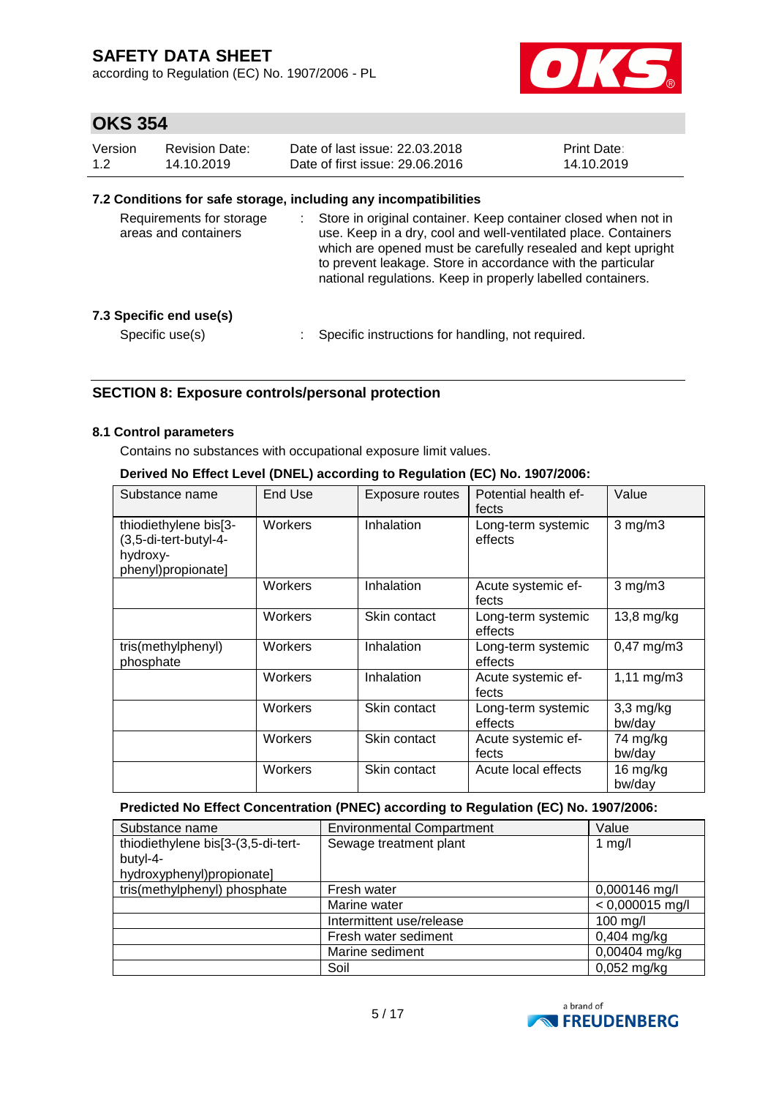according to Regulation (EC) No. 1907/2006 - PL



# **OKS 354**

| Version | <b>Revision Date:</b> | Date of last issue: 22,03,2018  | <b>Print Date:</b> |
|---------|-----------------------|---------------------------------|--------------------|
| 1.2     | 14.10.2019            | Date of first issue: 29,06,2016 | 14.10.2019         |

### **7.2 Conditions for safe storage, including any incompatibilities**

| Requirements for storage<br>areas and containers |  | Store in original container. Keep container closed when not in<br>use. Keep in a dry, cool and well-ventilated place. Containers<br>which are opened must be carefully resealed and kept upright<br>to prevent leakage. Store in accordance with the particular<br>national regulations. Keep in properly labelled containers. |
|--------------------------------------------------|--|--------------------------------------------------------------------------------------------------------------------------------------------------------------------------------------------------------------------------------------------------------------------------------------------------------------------------------|
| 7.3 Specific end use(s)                          |  |                                                                                                                                                                                                                                                                                                                                |
| Specific use(s)                                  |  | Specific instructions for handling, not required.                                                                                                                                                                                                                                                                              |

# **SECTION 8: Exposure controls/personal protection**

### **8.1 Control parameters**

Contains no substances with occupational exposure limit values.

### **Derived No Effect Level (DNEL) according to Regulation (EC) No. 1907/2006:**

| Substance name                                                                   | End Use | Exposure routes | Potential health ef-<br>fects | Value                   |
|----------------------------------------------------------------------------------|---------|-----------------|-------------------------------|-------------------------|
| thiodiethylene bis[3-<br>(3,5-di-tert-butyl-4-<br>hydroxy-<br>phenyl)propionate] | Workers | Inhalation      | Long-term systemic<br>effects | $3$ mg/m $3$            |
|                                                                                  | Workers | Inhalation      | Acute systemic ef-<br>fects   | $3$ mg/m $3$            |
|                                                                                  | Workers | Skin contact    | Long-term systemic<br>effects | $13,8$ mg/kg            |
| tris(methylphenyl)<br>phosphate                                                  | Workers | Inhalation      | Long-term systemic<br>effects | $0,47 \text{ mg/m}$ 3   |
|                                                                                  | Workers | Inhalation      | Acute systemic ef-<br>fects   | $1,11 \, \text{mg/m}$ 3 |
|                                                                                  | Workers | Skin contact    | Long-term systemic<br>effects | $3,3$ mg/kg<br>bw/day   |
|                                                                                  | Workers | Skin contact    | Acute systemic ef-<br>fects   | 74 mg/kg<br>bw/day      |
|                                                                                  | Workers | Skin contact    | Acute local effects           | 16 mg/kg<br>bw/day      |

### **Predicted No Effect Concentration (PNEC) according to Regulation (EC) No. 1907/2006:**

| Substance name                     | <b>Environmental Compartment</b> | Value             |
|------------------------------------|----------------------------------|-------------------|
| thiodiethylene bis[3-(3,5-di-tert- | Sewage treatment plant           | 1 $mg/l$          |
| butyl-4-                           |                                  |                   |
| hydroxyphenyl)propionate]          |                                  |                   |
| tris(methylphenyl) phosphate       | Fresh water                      | 0,000146 mg/l     |
|                                    | Marine water                     | $< 0,000015$ mg/l |
|                                    | Intermittent use/release         | 100 mg/l          |
|                                    | Fresh water sediment             | $0,404$ mg/kg     |
|                                    | Marine sediment                  | 0,00404 mg/kg     |
|                                    | Soil                             | $0,052$ mg/kg     |

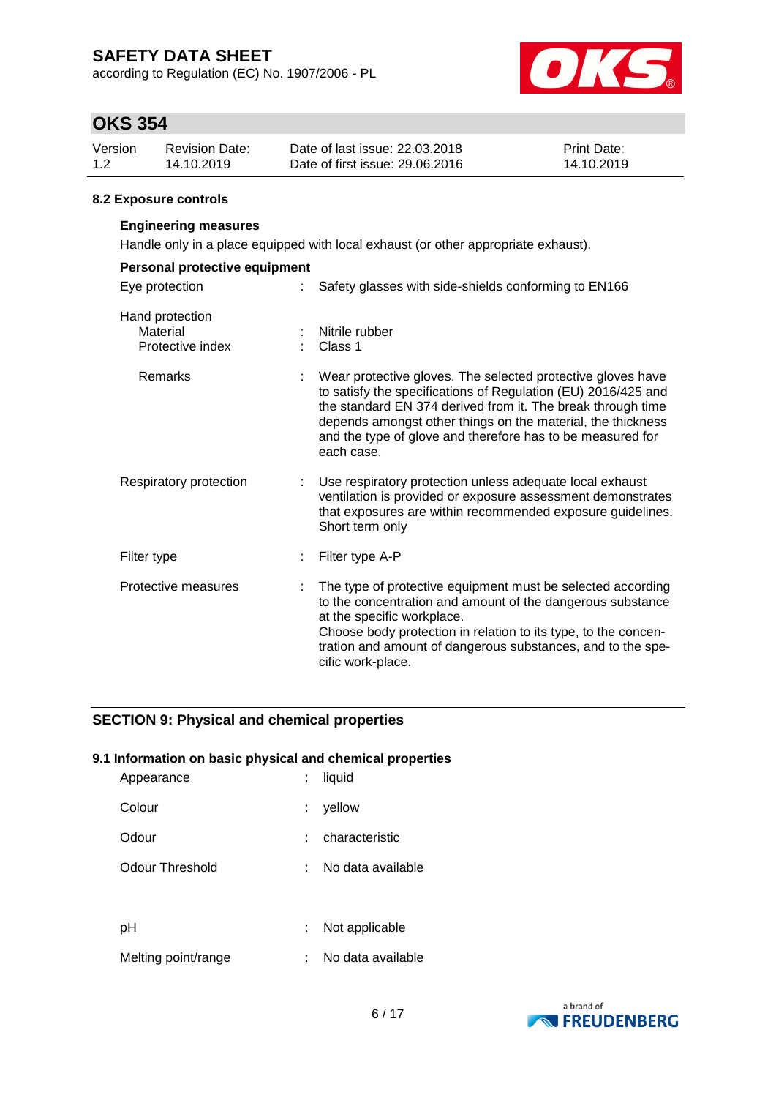according to Regulation (EC) No. 1907/2006 - PL



# **OKS 354**

| Version | Revision Date: | Date of last issue: 22.03.2018  | <b>Print Date:</b> |
|---------|----------------|---------------------------------|--------------------|
| 1.2     | 14.10.2019     | Date of first issue: 29,06,2016 | 14.10.2019         |

### **8.2 Exposure controls**

# **Engineering measures**

Handle only in a place equipped with local exhaust (or other appropriate exhaust).

| Personal protective equipment                   |                                                                                                                                                                                                                                                                                                                                        |  |
|-------------------------------------------------|----------------------------------------------------------------------------------------------------------------------------------------------------------------------------------------------------------------------------------------------------------------------------------------------------------------------------------------|--|
| Eye protection                                  | Safety glasses with side-shields conforming to EN166                                                                                                                                                                                                                                                                                   |  |
| Hand protection<br>Material<br>Protective index | Nitrile rubber<br>Class 1                                                                                                                                                                                                                                                                                                              |  |
| Remarks                                         | Wear protective gloves. The selected protective gloves have<br>to satisfy the specifications of Regulation (EU) 2016/425 and<br>the standard EN 374 derived from it. The break through time<br>depends amongst other things on the material, the thickness<br>and the type of glove and therefore has to be measured for<br>each case. |  |
| Respiratory protection                          | Use respiratory protection unless adequate local exhaust<br>ventilation is provided or exposure assessment demonstrates<br>that exposures are within recommended exposure guidelines.<br>Short term only                                                                                                                               |  |
| Filter type                                     | Filter type A-P                                                                                                                                                                                                                                                                                                                        |  |
| Protective measures                             | The type of protective equipment must be selected according<br>to the concentration and amount of the dangerous substance<br>at the specific workplace.<br>Choose body protection in relation to its type, to the concen-<br>tration and amount of dangerous substances, and to the spe-<br>cific work-place.                          |  |

# **SECTION 9: Physical and chemical properties**

### **9.1 Information on basic physical and chemical properties**

| Appearance          | liquid            |
|---------------------|-------------------|
| Colour              | yellow            |
| Odour               | characteristic    |
| Odour Threshold     | No data available |
|                     |                   |
| рH                  | Not applicable    |
| Melting point/range | No data available |

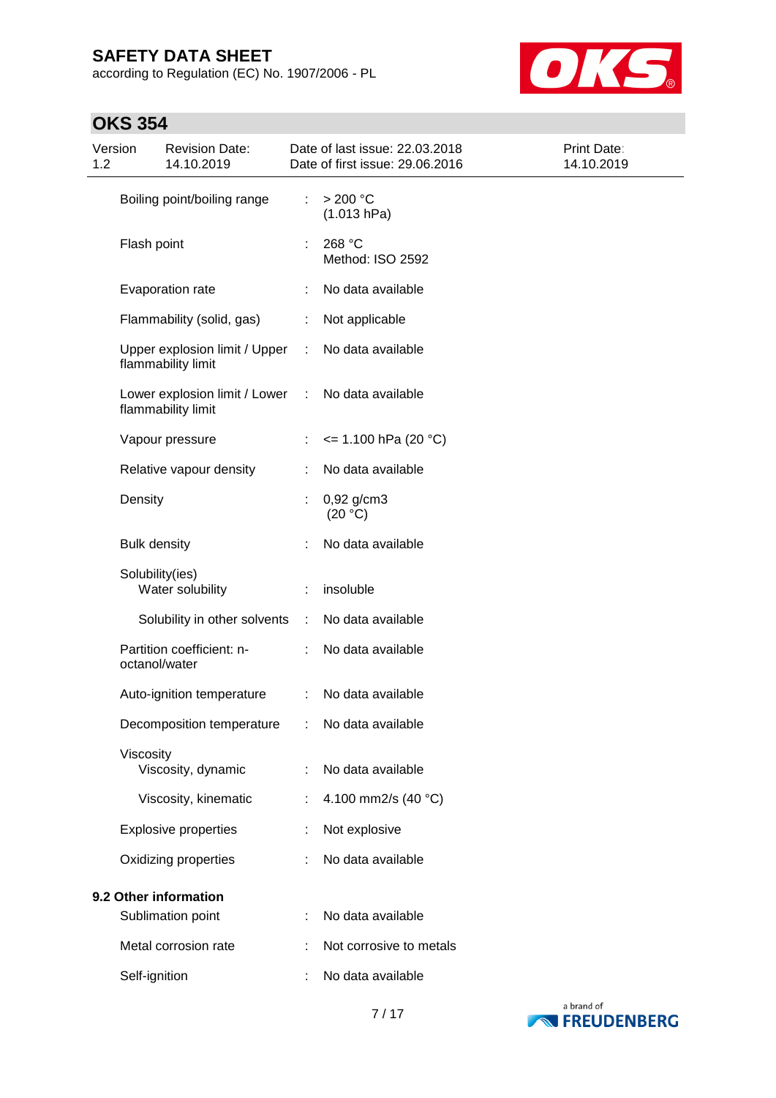according to Regulation (EC) No. 1907/2006 - PL



# **OKS 354**

| Version<br>1.2 |                     | <b>Revision Date:</b><br>14.10.2019                 |   | Date of last issue: 22.03.2018<br>Date of first issue: 29.06.2016 | Print Date:<br>14.10.2019 |
|----------------|---------------------|-----------------------------------------------------|---|-------------------------------------------------------------------|---------------------------|
|                |                     | Boiling point/boiling range                         | ÷ | $>200$ °C<br>(1.013 hPa)                                          |                           |
|                | Flash point         |                                                     |   | 268 °C<br>Method: ISO 2592                                        |                           |
|                |                     | Evaporation rate                                    |   | No data available                                                 |                           |
|                |                     | Flammability (solid, gas)                           | ÷ | Not applicable                                                    |                           |
|                |                     | Upper explosion limit / Upper<br>flammability limit | ÷ | No data available                                                 |                           |
|                |                     | Lower explosion limit / Lower<br>flammability limit | ÷ | No data available                                                 |                           |
|                |                     | Vapour pressure                                     |   | $\le$ 1.100 hPa (20 °C)                                           |                           |
|                |                     | Relative vapour density                             |   | No data available                                                 |                           |
|                | Density             |                                                     | ÷ | $0,92$ g/cm3<br>(20 °C)                                           |                           |
|                | <b>Bulk density</b> |                                                     | ÷ | No data available                                                 |                           |
|                | Solubility(ies)     | Water solubility                                    |   | insoluble                                                         |                           |
|                |                     | Solubility in other solvents                        | ÷ | No data available                                                 |                           |
|                | octanol/water       | Partition coefficient: n-                           |   | No data available                                                 |                           |
|                |                     | Auto-ignition temperature                           | ÷ | No data available                                                 |                           |
|                |                     | Decomposition temperature                           |   | No data available                                                 |                           |
|                | Viscosity           | Viscosity, dynamic                                  |   | No data available                                                 |                           |
|                |                     | Viscosity, kinematic                                |   | 4.100 mm2/s (40 °C)                                               |                           |
|                |                     | <b>Explosive properties</b>                         |   | Not explosive                                                     |                           |
|                |                     | Oxidizing properties                                |   | No data available                                                 |                           |
|                |                     | 9.2 Other information                               |   |                                                                   |                           |
|                |                     | Sublimation point                                   |   | No data available                                                 |                           |
|                |                     | Metal corrosion rate                                |   | Not corrosive to metals                                           |                           |
|                | Self-ignition       |                                                     |   | No data available                                                 |                           |

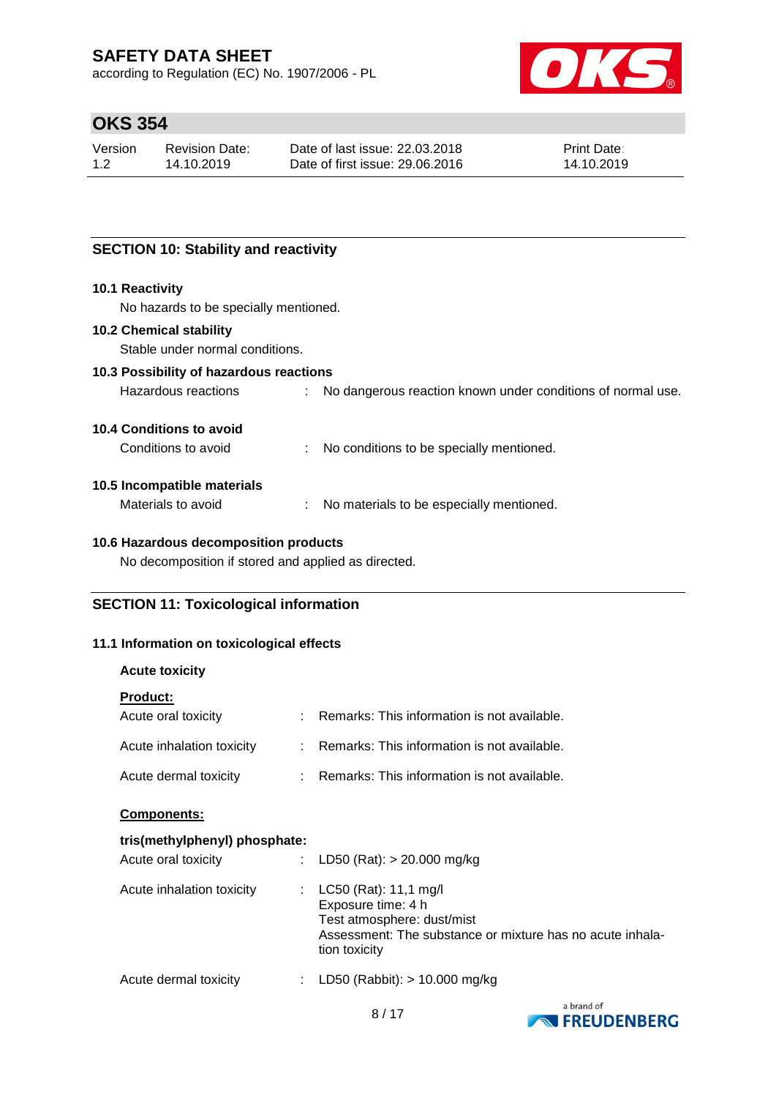according to Regulation (EC) No. 1907/2006 - PL



# **OKS 354**

| Version | Revision Date: | Date of last issue: 22.03.2018  | <b>Print Date:</b> |
|---------|----------------|---------------------------------|--------------------|
| 1.2     | 14.10.2019     | Date of first issue: 29,06,2016 | 14.10.2019         |

# **SECTION 10: Stability and reactivity**

#### **10.1 Reactivity**

No hazards to be specially mentioned.

#### **10.2 Chemical stability**

Stable under normal conditions.

# **10.3 Possibility of hazardous reactions**

| Hazardous reactions |  | No dangerous reaction known under conditions of normal use. |
|---------------------|--|-------------------------------------------------------------|
|---------------------|--|-------------------------------------------------------------|

#### **10.4 Conditions to avoid**

Conditions to avoid : No conditions to be specially mentioned.

#### **10.5 Incompatible materials**

Materials to avoid : No materials to be especially mentioned.

### **10.6 Hazardous decomposition products**

No decomposition if stored and applied as directed.

# **SECTION 11: Toxicological information**

### **11.1 Information on toxicological effects**

### **Acute toxicity**

| <b>Product:</b>           |                                               |
|---------------------------|-----------------------------------------------|
| Acute oral toxicity       | : Remarks: This information is not available. |
| Acute inhalation toxicity | : Remarks: This information is not available. |
| Acute dermal toxicity     | : Remarks: This information is not available. |

#### **Components:**

### **tris(methylphenyl) phosphate:**

| Acute oral toxicity       | : LD50 (Rat): $> 20.000$ mg/kg                                                                                                                              |
|---------------------------|-------------------------------------------------------------------------------------------------------------------------------------------------------------|
| Acute inhalation toxicity | : $LC50$ (Rat): 11,1 mg/l<br>Exposure time: 4 h<br>Test atmosphere: dust/mist<br>Assessment: The substance or mixture has no acute inhala-<br>tion toxicity |
| Acute dermal toxicity     | : LD50 (Rabbit): $> 10.000$ mg/kg                                                                                                                           |

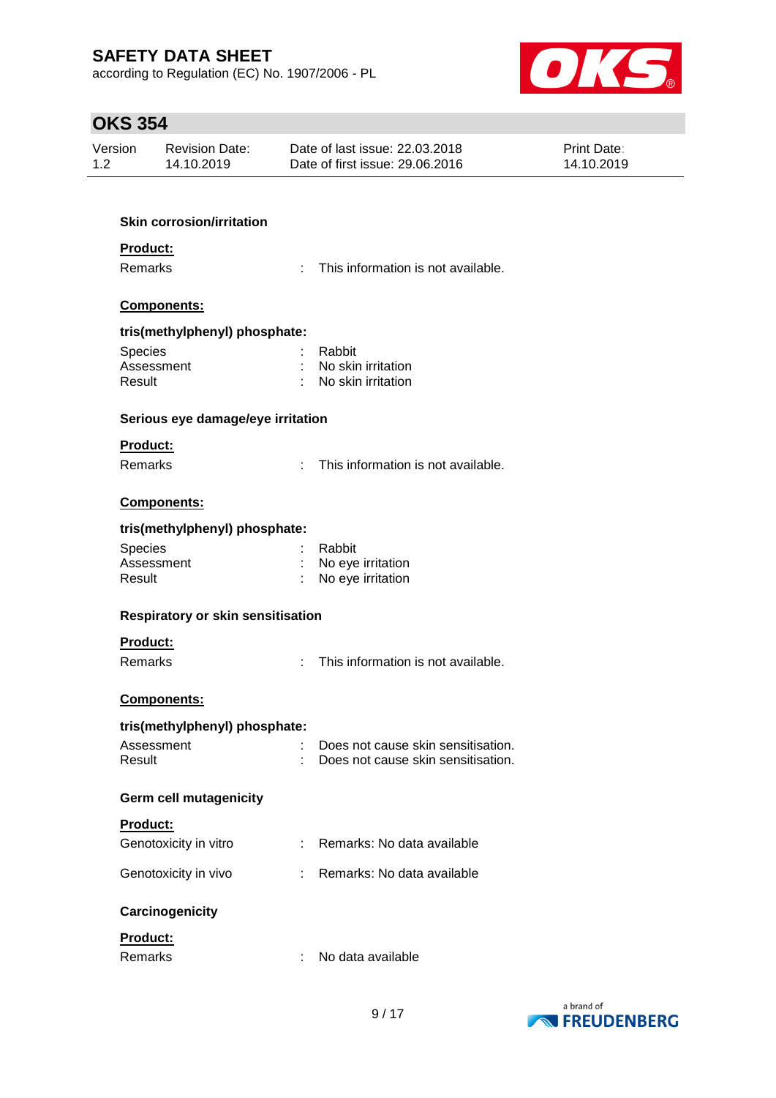according to Regulation (EC) No. 1907/2006 - PL



# **OKS 354**

| Version | <b>Revision Date:</b> | Date of last issue: 22.03.2018  | <b>Print Date:</b> |
|---------|-----------------------|---------------------------------|--------------------|
| 1.2     | 14.10.2019            | Date of first issue: 29,06,2016 | 14.10.2019         |
|         |                       |                                 |                    |

# **Skin corrosion/irritation**

# **Product:**

Remarks : This information is not available.

# **Components:**

#### **tris(methylphenyl) phosphate:**

| <b>Species</b> | : Rabbit             |
|----------------|----------------------|
| Assessment     | : No skin irritation |
| Result         | : No skin irritation |

#### **Serious eye damage/eye irritation**

#### **Product:**

Remarks : This information is not available.

#### **Components:**

#### **tris(methylphenyl) phosphate:**

| <b>Species</b> | : Rabbit            |
|----------------|---------------------|
| Assessment     | : No eye irritation |
| Result         | : No eye irritation |

#### **Respiratory or skin sensitisation**

### **Product:**

Remarks : This information is not available.

### **Components:**

### **tris(methylphenyl) phosphate:**

| Assessment | Does not cause skin sensitisation. |
|------------|------------------------------------|
| Result     | Does not cause skin sensitisation. |

#### **Germ cell mutagenicity**

#### **Product:**

| Genotoxicity in vitro | : Remarks: No data available |
|-----------------------|------------------------------|
| Genotoxicity in vivo  | : Remarks: No data available |

### **Carcinogenicity**

# **Product:**

| Remarks | No data available |
|---------|-------------------|
|         |                   |

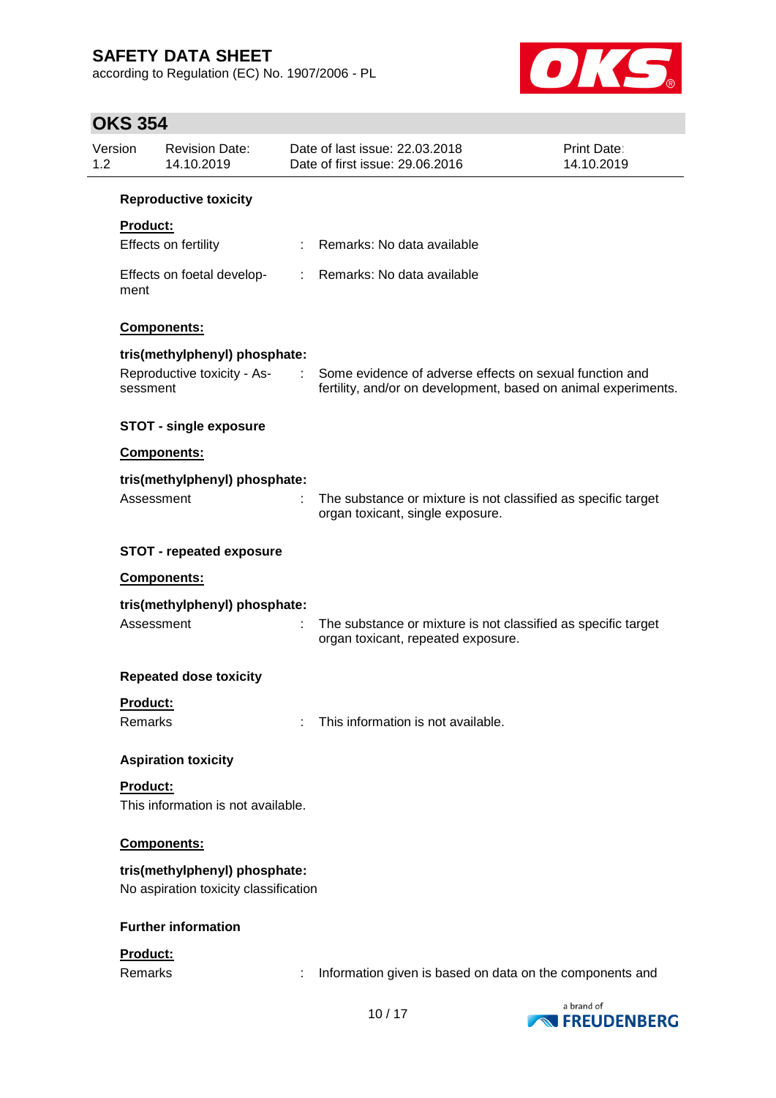according to Regulation (EC) No. 1907/2006 - PL



# **OKS 354**

| Version<br>1.2 |                               | <b>Revision Date:</b><br>14.10.2019                                    |                | Date of last issue: 22.03.2018<br>Date of first issue: 29.06.2016                                                         | <b>Print Date:</b><br>14.10.2019 |  |  |  |  |  |
|----------------|-------------------------------|------------------------------------------------------------------------|----------------|---------------------------------------------------------------------------------------------------------------------------|----------------------------------|--|--|--|--|--|
|                | <b>Reproductive toxicity</b>  |                                                                        |                |                                                                                                                           |                                  |  |  |  |  |  |
|                | <b>Product:</b>               |                                                                        |                |                                                                                                                           |                                  |  |  |  |  |  |
|                |                               | Effects on fertility                                                   | ÷              | Remarks: No data available                                                                                                |                                  |  |  |  |  |  |
|                | ment                          | Effects on foetal develop-                                             | ÷.             | Remarks: No data available                                                                                                |                                  |  |  |  |  |  |
|                |                               | Components:                                                            |                |                                                                                                                           |                                  |  |  |  |  |  |
|                | tris(methylphenyl) phosphate: |                                                                        |                |                                                                                                                           |                                  |  |  |  |  |  |
|                | sessment                      | Reproductive toxicity - As-                                            | <b>Service</b> | Some evidence of adverse effects on sexual function and<br>fertility, and/or on development, based on animal experiments. |                                  |  |  |  |  |  |
|                |                               | <b>STOT - single exposure</b>                                          |                |                                                                                                                           |                                  |  |  |  |  |  |
|                |                               | Components:                                                            |                |                                                                                                                           |                                  |  |  |  |  |  |
|                |                               | tris(methylphenyl) phosphate:                                          |                |                                                                                                                           |                                  |  |  |  |  |  |
|                |                               | Assessment                                                             | ÷              | The substance or mixture is not classified as specific target<br>organ toxicant, single exposure.                         |                                  |  |  |  |  |  |
|                |                               | <b>STOT - repeated exposure</b>                                        |                |                                                                                                                           |                                  |  |  |  |  |  |
|                |                               | Components:                                                            |                |                                                                                                                           |                                  |  |  |  |  |  |
|                |                               | tris(methylphenyl) phosphate:                                          |                |                                                                                                                           |                                  |  |  |  |  |  |
|                |                               | Assessment                                                             | ÷              | The substance or mixture is not classified as specific target<br>organ toxicant, repeated exposure.                       |                                  |  |  |  |  |  |
|                |                               | <b>Repeated dose toxicity</b>                                          |                |                                                                                                                           |                                  |  |  |  |  |  |
|                | <b>Product:</b>               |                                                                        |                |                                                                                                                           |                                  |  |  |  |  |  |
|                | Remarks                       |                                                                        |                | This information is not available.                                                                                        |                                  |  |  |  |  |  |
|                |                               | <b>Aspiration toxicity</b>                                             |                |                                                                                                                           |                                  |  |  |  |  |  |
|                | Product:                      |                                                                        |                |                                                                                                                           |                                  |  |  |  |  |  |
|                |                               | This information is not available.                                     |                |                                                                                                                           |                                  |  |  |  |  |  |
|                | <b>Components:</b>            |                                                                        |                |                                                                                                                           |                                  |  |  |  |  |  |
|                |                               | tris(methylphenyl) phosphate:<br>No aspiration toxicity classification |                |                                                                                                                           |                                  |  |  |  |  |  |
|                |                               | <b>Further information</b>                                             |                |                                                                                                                           |                                  |  |  |  |  |  |
|                | <b>Product:</b>               |                                                                        |                |                                                                                                                           |                                  |  |  |  |  |  |
|                | Remarks                       |                                                                        |                | Information given is based on data on the components and                                                                  |                                  |  |  |  |  |  |
|                |                               |                                                                        |                | 10/17                                                                                                                     | a brand of                       |  |  |  |  |  |

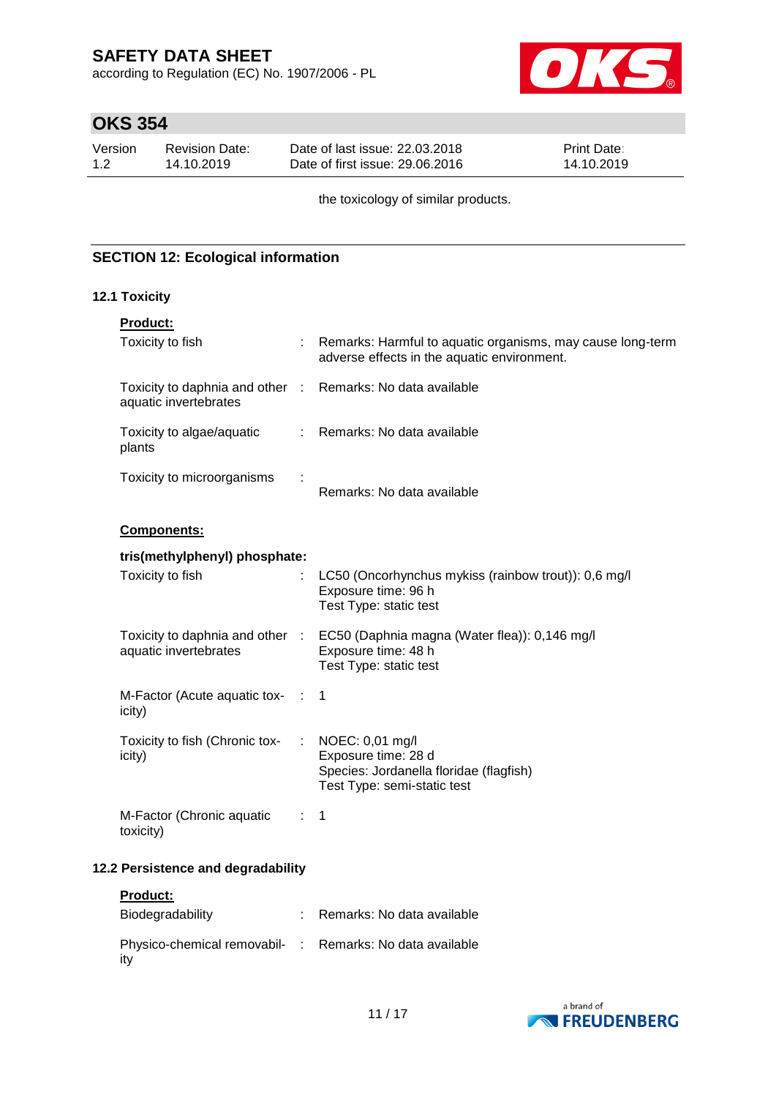according to Regulation (EC) No. 1907/2006 - PL



# **OKS 354**

| Version | Revision Date: | Date of last issue: 22,03,2018  | <b>Print Date:</b> |
|---------|----------------|---------------------------------|--------------------|
| 1.2     | 14.10.2019     | Date of first issue: 29,06,2016 | 14.10.2019         |

the toxicology of similar products.

# **SECTION 12: Ecological information**

### **12.1 Toxicity**

| Product:                                                                            |                |                                                                                                                  |
|-------------------------------------------------------------------------------------|----------------|------------------------------------------------------------------------------------------------------------------|
| Toxicity to fish                                                                    |                | : Remarks: Harmful to aquatic organisms, may cause long-term<br>adverse effects in the aquatic environment.      |
| Toxicity to daphnia and other : Remarks: No data available<br>aquatic invertebrates |                |                                                                                                                  |
| Toxicity to algae/aquatic<br>plants                                                 |                | : Remarks: No data available                                                                                     |
| Toxicity to microorganisms                                                          |                | Remarks: No data available                                                                                       |
| <b>Components:</b>                                                                  |                |                                                                                                                  |
| tris(methylphenyl) phosphate:                                                       |                |                                                                                                                  |
| Toxicity to fish                                                                    |                | LC50 (Oncorhynchus mykiss (rainbow trout)): 0,6 mg/l<br>Exposure time: 96 h<br>Test Type: static test            |
| Toxicity to daphnia and other :<br>aquatic invertebrates                            |                | EC50 (Daphnia magna (Water flea)): 0,146 mg/l<br>Exposure time: 48 h<br>Test Type: static test                   |
| M-Factor (Acute aquatic tox-<br>icity)                                              | $\sim 100$     | $\mathbf 1$                                                                                                      |
| Toxicity to fish (Chronic tox-<br>icity)                                            |                | NOEC: 0,01 mg/l<br>Exposure time: 28 d<br>Species: Jordanella floridae (flagfish)<br>Test Type: semi-static test |
| M-Factor (Chronic aquatic<br>toxicity)                                              | $\therefore$ 1 |                                                                                                                  |
| 12.2 Persistence and degradability                                                  |                |                                                                                                                  |
| Product:                                                                            |                |                                                                                                                  |
| Biodegradability                                                                    |                | : Remarks: No data available                                                                                     |

| Physico-chemical removabil- : Remarks: No data available |  |
|----------------------------------------------------------|--|
| ity                                                      |  |

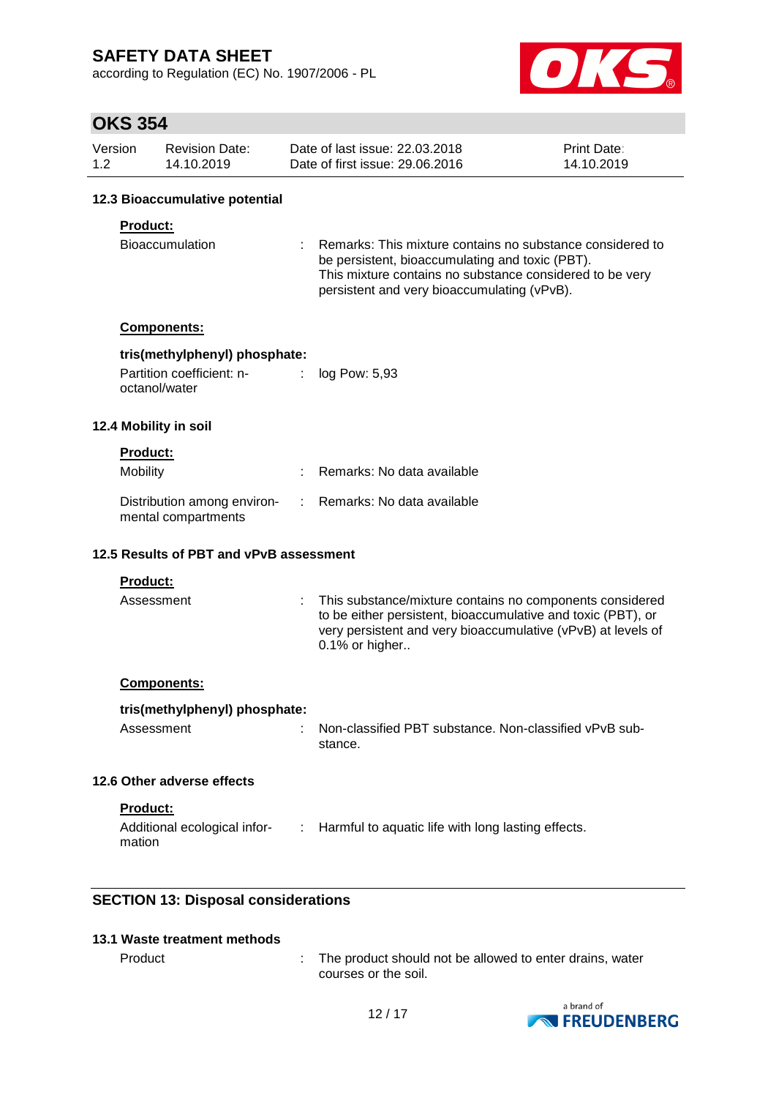according to Regulation (EC) No. 1907/2006 - PL



# **OKS 354**

| Version | Revision Date: | Date of last issue: 22,03,2018  | <b>Print Date:</b> |
|---------|----------------|---------------------------------|--------------------|
| 1.2     | 14.10.2019     | Date of first issue: 29,06,2016 | 14.10.2019         |

### **12.3 Bioaccumulative potential**

### **Product:**

| Bioaccumulation | : Remarks: This mixture contains no substance considered to |
|-----------------|-------------------------------------------------------------|
|                 | be persistent, bioaccumulating and toxic (PBT).             |
|                 | This mixture contains no substance considered to be very    |
|                 | persistent and very bioaccumulating (vPvB).                 |

#### **Components:**

### **tris(methylphenyl) phosphate:**

| Partition coefficient: n- | log Pow: 5,93 |
|---------------------------|---------------|
| octanol/water             |               |

#### **12.4 Mobility in soil**

#### **Product:**

| Mobility                                           | : Remarks: No data available |
|----------------------------------------------------|------------------------------|
| Distribution among environ-<br>mental compartments | : Remarks: No data available |

### **12.5 Results of PBT and vPvB assessment**

#### **Product:**

| Assessment | : This substance/mixture contains no components considered<br>to be either persistent, bioaccumulative and toxic (PBT), or<br>very persistent and very bioaccumulative (vPvB) at levels of<br>$0.1\%$ or higher |
|------------|-----------------------------------------------------------------------------------------------------------------------------------------------------------------------------------------------------------------|
|------------|-----------------------------------------------------------------------------------------------------------------------------------------------------------------------------------------------------------------|

### **Components:**

#### **tris(methylphenyl) phosphate:**

| Assessment | : Non-classified PBT substance. Non-classified vPvB sub- |
|------------|----------------------------------------------------------|
|            | stance.                                                  |

### **12.6 Other adverse effects**

**Product:**

| Additional ecological infor- | : Harmful to aquatic life with long lasting effects. |
|------------------------------|------------------------------------------------------|
| mation                       |                                                      |

# **SECTION 13: Disposal considerations**

### **13.1 Waste treatment methods**

| Product |  |
|---------|--|
|---------|--|

ext in the product should not be allowed to enter drains, water courses or the soil.

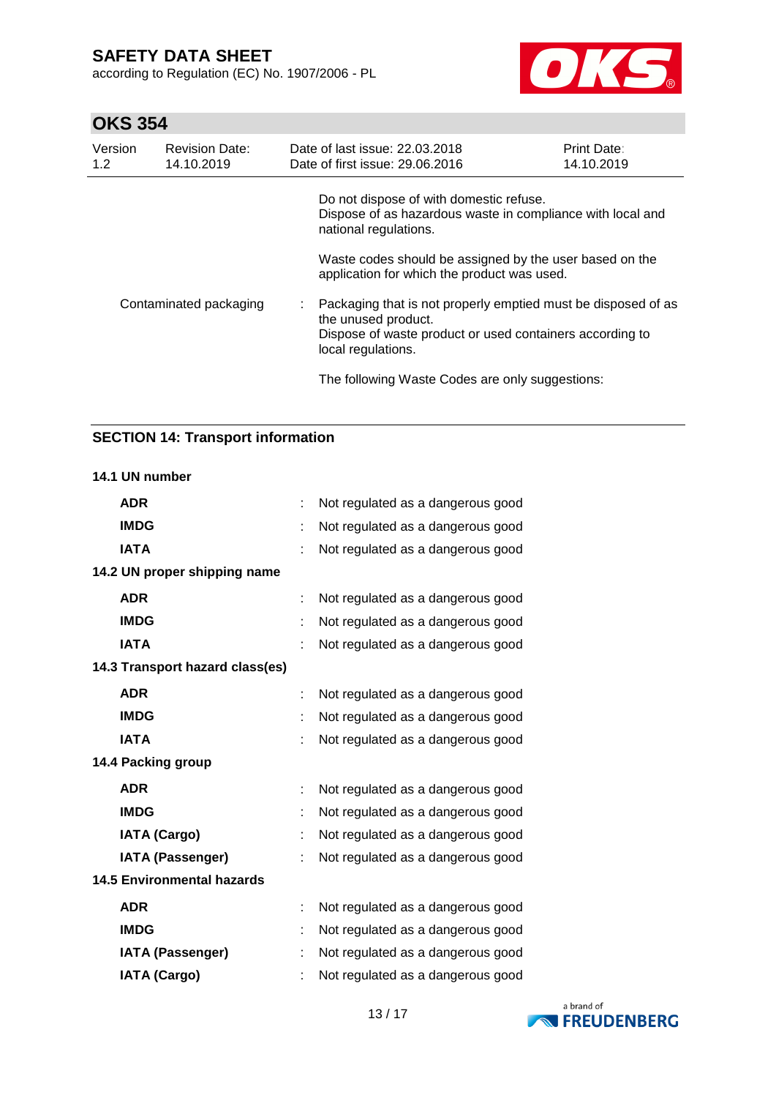according to Regulation (EC) No. 1907/2006 - PL



# **OKS 354**

| Version<br>1.2         | <b>Revision Date:</b><br>14.10.2019 | Date of last issue: 22.03.2018<br>Date of first issue: 29.06.2016                                      | Print Date:<br>14.10.2019                                     |
|------------------------|-------------------------------------|--------------------------------------------------------------------------------------------------------|---------------------------------------------------------------|
| Contaminated packaging |                                     | Do not dispose of with domestic refuse.<br>national regulations.                                       | Dispose of as hazardous waste in compliance with local and    |
|                        |                                     | Waste codes should be assigned by the user based on the<br>application for which the product was used. |                                                               |
|                        |                                     | the unused product.<br>Dispose of waste product or used containers according to<br>local regulations.  | Packaging that is not properly emptied must be disposed of as |
|                        |                                     | The following Waste Codes are only suggestions:                                                        |                                                               |

# **SECTION 14: Transport information**

#### **14.1 UN number**

| <b>ADR</b>                        | Not regulated as a dangerous good |
|-----------------------------------|-----------------------------------|
| <b>IMDG</b>                       | Not regulated as a dangerous good |
| <b>IATA</b>                       | Not regulated as a dangerous good |
| 14.2 UN proper shipping name      |                                   |
| <b>ADR</b>                        | Not regulated as a dangerous good |
| <b>IMDG</b>                       | Not regulated as a dangerous good |
| <b>IATA</b>                       | Not regulated as a dangerous good |
| 14.3 Transport hazard class(es)   |                                   |
| <b>ADR</b>                        | Not regulated as a dangerous good |
| <b>IMDG</b>                       | Not regulated as a dangerous good |
| <b>IATA</b>                       | Not regulated as a dangerous good |
| 14.4 Packing group                |                                   |
| <b>ADR</b>                        | Not regulated as a dangerous good |
| <b>IMDG</b>                       | Not regulated as a dangerous good |
| <b>IATA (Cargo)</b>               | Not regulated as a dangerous good |
| <b>IATA (Passenger)</b>           | Not regulated as a dangerous good |
| <b>14.5 Environmental hazards</b> |                                   |
| <b>ADR</b>                        | Not regulated as a dangerous good |
| <b>IMDG</b>                       | Not regulated as a dangerous good |
| <b>IATA (Passenger)</b>           | Not regulated as a dangerous good |
| <b>IATA (Cargo)</b>               | Not regulated as a dangerous good |

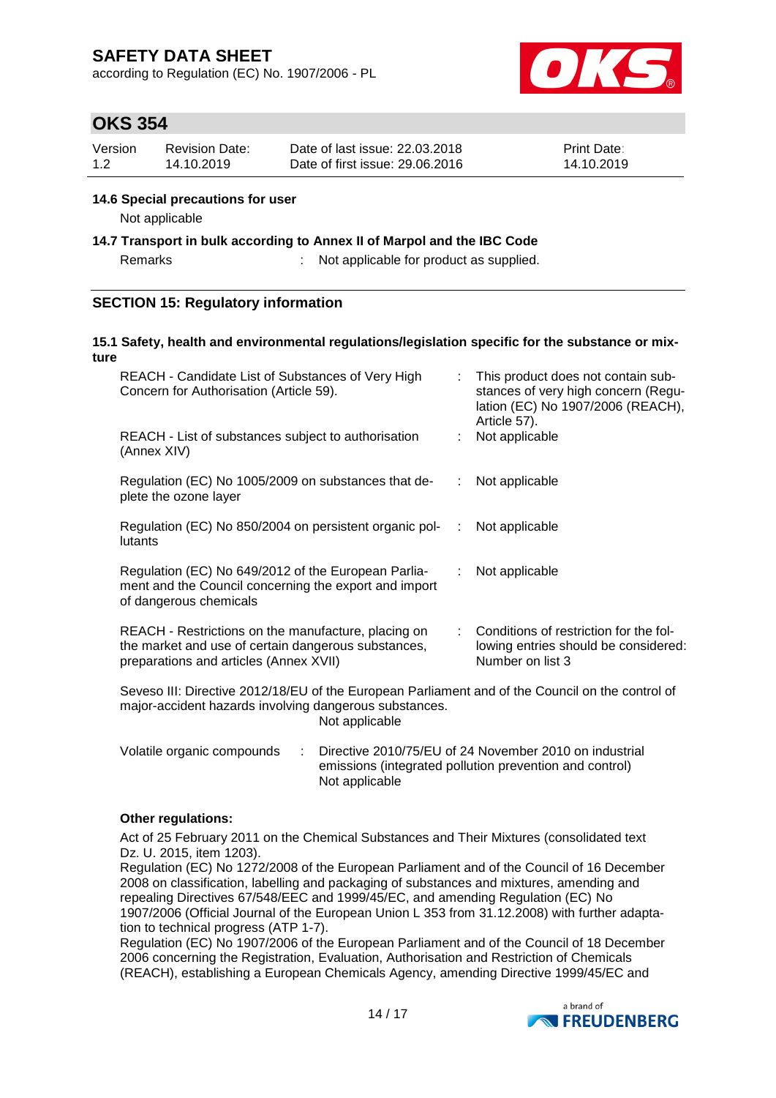according to Regulation (EC) No. 1907/2006 - PL



# **OKS 354**

| Version | Revision Date: | Date of last issue: 22,03,2018  | <b>Print Date:</b> |
|---------|----------------|---------------------------------|--------------------|
| 1.2     | 14.10.2019     | Date of first issue: 29,06,2016 | 14.10.2019         |

### **14.6 Special precautions for user**

Not applicable

**14.7 Transport in bulk according to Annex II of Marpol and the IBC Code**

Remarks : Not applicable for product as supplied.

### **SECTION 15: Regulatory information**

#### **15.1 Safety, health and environmental regulations/legislation specific for the substance or mixture**

| REACH - Candidate List of Substances of Very High<br>Concern for Authorisation (Article 59).                                                         |   | This product does not contain sub-<br>stances of very high concern (Regu-<br>lation (EC) No 1907/2006 (REACH),<br>Article 57). |  |  |
|------------------------------------------------------------------------------------------------------------------------------------------------------|---|--------------------------------------------------------------------------------------------------------------------------------|--|--|
| REACH - List of substances subject to authorisation<br>(Annex XIV)                                                                                   |   | Not applicable                                                                                                                 |  |  |
| Regulation (EC) No 1005/2009 on substances that de-<br>plete the ozone layer                                                                         |   | Not applicable                                                                                                                 |  |  |
| Regulation (EC) No 850/2004 on persistent organic pol-<br>lutants                                                                                    | ÷ | Not applicable                                                                                                                 |  |  |
| Regulation (EC) No 649/2012 of the European Parlia-<br>ment and the Council concerning the export and import<br>of dangerous chemicals               |   | Not applicable                                                                                                                 |  |  |
| REACH - Restrictions on the manufacture, placing on<br>the market and use of certain dangerous substances,<br>preparations and articles (Annex XVII) |   | Conditions of restriction for the fol-<br>lowing entries should be considered:<br>Number on list 3                             |  |  |
| Seveso III: Directive 2012/18/EU of the European Parliament and of the Council on the control of                                                     |   |                                                                                                                                |  |  |

Seveso III: Directive 2012/18/EU of the European Parliament and of the Council on the control of major-accident hazards involving dangerous substances. Not applicable

| Volatile organic compounds | $\therefore$ Directive 2010/75/EU of 24 November 2010 on industrial |
|----------------------------|---------------------------------------------------------------------|
|                            | emissions (integrated pollution prevention and control)             |
|                            | Not applicable                                                      |

### **Other regulations:**

Act of 25 February 2011 on the Chemical Substances and Their Mixtures (consolidated text Dz. U. 2015, item 1203).

Regulation (EC) No 1272/2008 of the European Parliament and of the Council of 16 December 2008 on classification, labelling and packaging of substances and mixtures, amending and repealing Directives 67/548/EEC and 1999/45/EC, and amending Regulation (EC) No 1907/2006 (Official Journal of the European Union L 353 from 31.12.2008) with further adaptation to technical progress (ATP 1-7).

Regulation (EC) No 1907/2006 of the European Parliament and of the Council of 18 December 2006 concerning the Registration, Evaluation, Authorisation and Restriction of Chemicals (REACH), establishing a European Chemicals Agency, amending Directive 1999/45/EC and

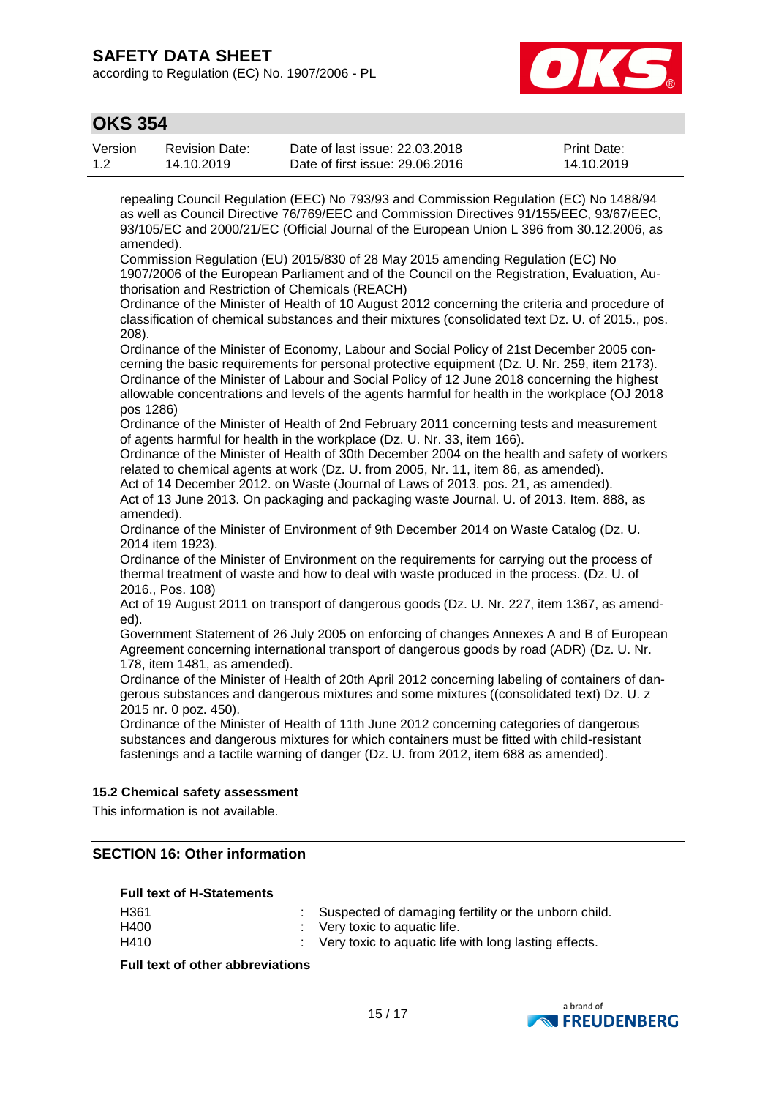according to Regulation (EC) No. 1907/2006 - PL



# **OKS 354**

| Version | <b>Revision Date:</b> | Date of last issue: 22,03,2018  | <b>Print Date:</b> |
|---------|-----------------------|---------------------------------|--------------------|
| 1.2     | 14.10.2019            | Date of first issue: 29,06,2016 | 14.10.2019         |

repealing Council Regulation (EEC) No 793/93 and Commission Regulation (EC) No 1488/94 as well as Council Directive 76/769/EEC and Commission Directives 91/155/EEC, 93/67/EEC, 93/105/EC and 2000/21/EC (Official Journal of the European Union L 396 from 30.12.2006, as amended).

Commission Regulation (EU) 2015/830 of 28 May 2015 amending Regulation (EC) No 1907/2006 of the European Parliament and of the Council on the Registration, Evaluation, Authorisation and Restriction of Chemicals (REACH)

Ordinance of the Minister of Health of 10 August 2012 concerning the criteria and procedure of classification of chemical substances and their mixtures (consolidated text Dz. U. of 2015., pos. 208).

Ordinance of the Minister of Economy, Labour and Social Policy of 21st December 2005 concerning the basic requirements for personal protective equipment (Dz. U. Nr. 259, item 2173). Ordinance of the Minister of Labour and Social Policy of 12 June 2018 concerning the highest allowable concentrations and levels of the agents harmful for health in the workplace (OJ 2018 pos 1286)

Ordinance of the Minister of Health of 2nd February 2011 concerning tests and measurement of agents harmful for health in the workplace (Dz. U. Nr. 33, item 166).

Ordinance of the Minister of Health of 30th December 2004 on the health and safety of workers related to chemical agents at work (Dz. U. from 2005, Nr. 11, item 86, as amended).

Act of 14 December 2012. on Waste (Journal of Laws of 2013. pos. 21, as amended).

Act of 13 June 2013. On packaging and packaging waste Journal. U. of 2013. Item. 888, as amended).

Ordinance of the Minister of Environment of 9th December 2014 on Waste Catalog (Dz. U. 2014 item 1923).

Ordinance of the Minister of Environment on the requirements for carrying out the process of thermal treatment of waste and how to deal with waste produced in the process. (Dz. U. of 2016., Pos. 108)

Act of 19 August 2011 on transport of dangerous goods (Dz. U. Nr. 227, item 1367, as amended).

Government Statement of 26 July 2005 on enforcing of changes Annexes A and B of European Agreement concerning international transport of dangerous goods by road (ADR) (Dz. U. Nr. 178, item 1481, as amended).

Ordinance of the Minister of Health of 20th April 2012 concerning labeling of containers of dangerous substances and dangerous mixtures and some mixtures ((consolidated text) Dz. U. z 2015 nr. 0 poz. 450).

Ordinance of the Minister of Health of 11th June 2012 concerning categories of dangerous substances and dangerous mixtures for which containers must be fitted with child-resistant fastenings and a tactile warning of danger (Dz. U. from 2012, item 688 as amended).

### **15.2 Chemical safety assessment**

This information is not available.

### **SECTION 16: Other information**

#### **Full text of H-Statements**

| H <sub>361</sub> | : Suspected of damaging fertility or the unborn child.             |
|------------------|--------------------------------------------------------------------|
| H400             | $\therefore$ Very toxic to aquatic life.                           |
| H410             | $\therefore$ Very toxic to aquatic life with long lasting effects. |

### **Full text of other abbreviations**

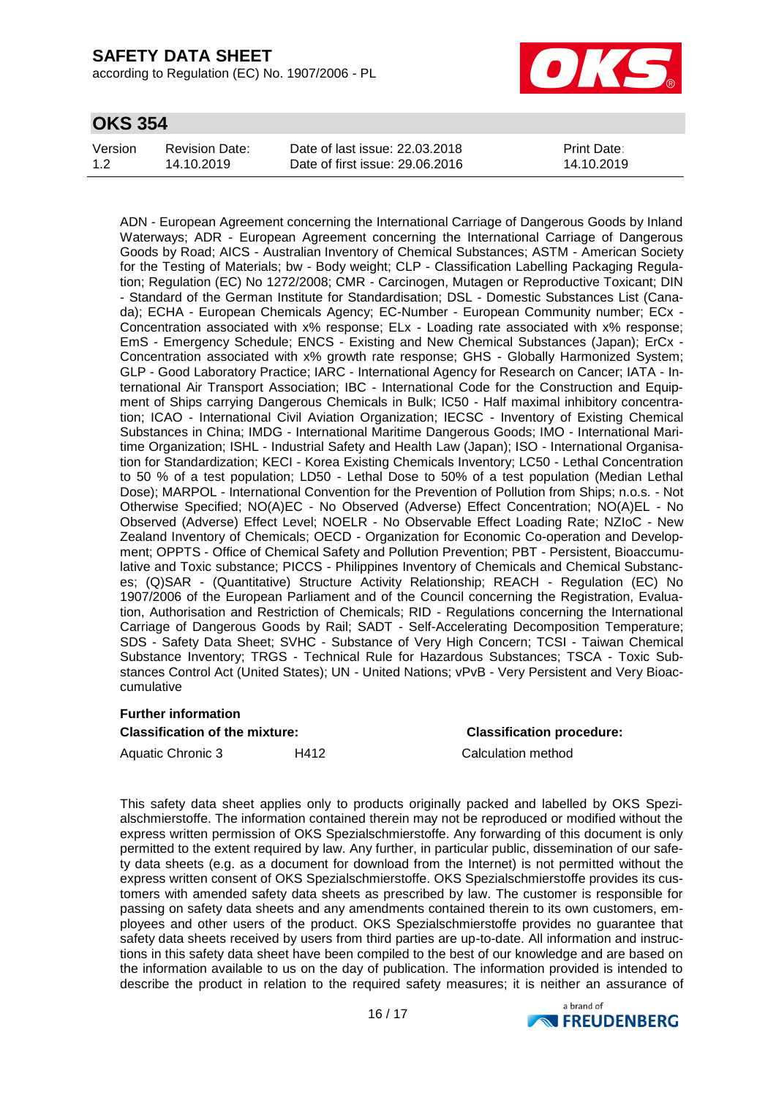according to Regulation (EC) No. 1907/2006 - PL



# **OKS 354**

| Version | Revision Date: | Date of last issue: 22,03,2018  | <b>Print Date:</b> |
|---------|----------------|---------------------------------|--------------------|
| 1.2     | 14.10.2019     | Date of first issue: 29,06,2016 | 14.10.2019         |

ADN - European Agreement concerning the International Carriage of Dangerous Goods by Inland Waterways; ADR - European Agreement concerning the International Carriage of Dangerous Goods by Road; AICS - Australian Inventory of Chemical Substances; ASTM - American Society for the Testing of Materials; bw - Body weight; CLP - Classification Labelling Packaging Regulation; Regulation (EC) No 1272/2008; CMR - Carcinogen, Mutagen or Reproductive Toxicant; DIN - Standard of the German Institute for Standardisation; DSL - Domestic Substances List (Canada); ECHA - European Chemicals Agency; EC-Number - European Community number; ECx - Concentration associated with x% response; ELx - Loading rate associated with x% response; EmS - Emergency Schedule; ENCS - Existing and New Chemical Substances (Japan); ErCx - Concentration associated with x% growth rate response; GHS - Globally Harmonized System; GLP - Good Laboratory Practice; IARC - International Agency for Research on Cancer; IATA - International Air Transport Association; IBC - International Code for the Construction and Equipment of Ships carrying Dangerous Chemicals in Bulk; IC50 - Half maximal inhibitory concentration; ICAO - International Civil Aviation Organization; IECSC - Inventory of Existing Chemical Substances in China; IMDG - International Maritime Dangerous Goods; IMO - International Maritime Organization; ISHL - Industrial Safety and Health Law (Japan); ISO - International Organisation for Standardization; KECI - Korea Existing Chemicals Inventory; LC50 - Lethal Concentration to 50 % of a test population; LD50 - Lethal Dose to 50% of a test population (Median Lethal Dose); MARPOL - International Convention for the Prevention of Pollution from Ships; n.o.s. - Not Otherwise Specified; NO(A)EC - No Observed (Adverse) Effect Concentration; NO(A)EL - No Observed (Adverse) Effect Level; NOELR - No Observable Effect Loading Rate; NZIoC - New Zealand Inventory of Chemicals; OECD - Organization for Economic Co-operation and Development; OPPTS - Office of Chemical Safety and Pollution Prevention; PBT - Persistent, Bioaccumulative and Toxic substance; PICCS - Philippines Inventory of Chemicals and Chemical Substances; (Q)SAR - (Quantitative) Structure Activity Relationship; REACH - Regulation (EC) No 1907/2006 of the European Parliament and of the Council concerning the Registration, Evaluation, Authorisation and Restriction of Chemicals; RID - Regulations concerning the International Carriage of Dangerous Goods by Rail; SADT - Self-Accelerating Decomposition Temperature; SDS - Safety Data Sheet; SVHC - Substance of Very High Concern; TCSI - Taiwan Chemical Substance Inventory; TRGS - Technical Rule for Hazardous Substances; TSCA - Toxic Substances Control Act (United States); UN - United Nations; vPvB - Very Persistent and Very Bioaccumulative

#### **Further information**

### **Classification of the mixture: Classification procedure:**

Aquatic Chronic 3 **H412** Calculation method

This safety data sheet applies only to products originally packed and labelled by OKS Spezialschmierstoffe. The information contained therein may not be reproduced or modified without the express written permission of OKS Spezialschmierstoffe. Any forwarding of this document is only permitted to the extent required by law. Any further, in particular public, dissemination of our safety data sheets (e.g. as a document for download from the Internet) is not permitted without the express written consent of OKS Spezialschmierstoffe. OKS Spezialschmierstoffe provides its customers with amended safety data sheets as prescribed by law. The customer is responsible for passing on safety data sheets and any amendments contained therein to its own customers, employees and other users of the product. OKS Spezialschmierstoffe provides no guarantee that safety data sheets received by users from third parties are up-to-date. All information and instructions in this safety data sheet have been compiled to the best of our knowledge and are based on the information available to us on the day of publication. The information provided is intended to describe the product in relation to the required safety measures; it is neither an assurance of